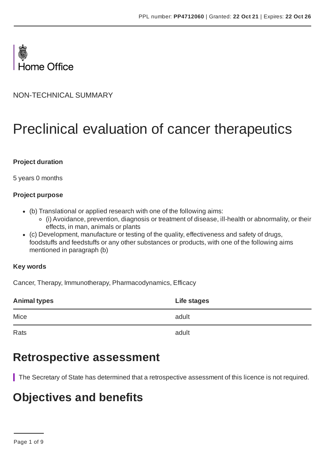

NON-TECHNICAL SUMMARY

# Preclinical evaluation of cancer therapeutics

#### **Project duration**

5 years 0 months

#### **Project purpose**

- (b) Translational or applied research with one of the following aims:
	- (i) Avoidance, prevention, diagnosis or treatment of disease, ill-health or abnormality, or their effects, in man, animals or plants
- (c) Development, manufacture or testing of the quality, effectiveness and safety of drugs, foodstuffs and feedstuffs or any other substances or products, with one of the following aims mentioned in paragraph (b)

#### **Key words**

Cancer, Therapy, Immunotherapy, Pharmacodynamics, Efficacy

| <b>Animal types</b> | Life stages |
|---------------------|-------------|
| Mice                | adult       |
| Rats                | adult       |

### **Retrospective assessment**

The Secretary of State has determined that a retrospective assessment of this licence is not required.

### **Objectives and benefits**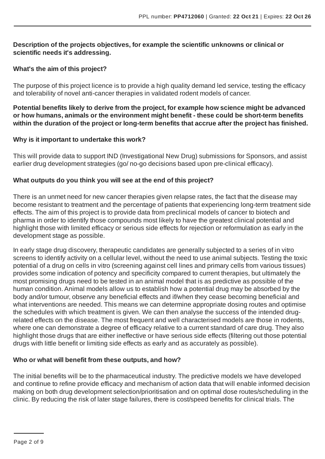#### **Description of the projects objectives, for example the scientific unknowns or clinical or scientific needs it's addressing.**

#### **What's the aim of this project?**

The purpose of this project licence is to provide a high quality demand led service, testing the efficacy and tolerability of novel anti-cancer therapies in validated rodent models of cancer.

**Potential benefits likely to derive from the project, for example how science might be advanced or how humans, animals or the environment might benefit - these could be short-term benefits within the duration of the project or long-term benefits that accrue after the project has finished.**

#### **Why is it important to undertake this work?**

This will provide data to support IND (Investigational New Drug) submissions for Sponsors, and assist earlier drug development strategies (go/ no-go decisions based upon pre-clinical efficacy).

#### **What outputs do you think you will see at the end of this project?**

There is an unmet need for new cancer therapies given relapse rates, the fact that the disease may become resistant to treatment and the percentage of patients that experiencing long-term treatment side effects. The aim of this project is to provide data from preclinical models of cancer to biotech and pharma in order to identify those compounds most likely to have the greatest clinical potential and highlight those with limited efficacy or serious side effects for rejection or reformulation as early in the development stage as possible.

In early stage drug discovery, therapeutic candidates are generally subjected to a series of in vitro screens to identify activity on a cellular level, without the need to use animal subjects. Testing the toxic potential of a drug on cells in vitro (screening against cell lines and primary cells from various tissues) provides some indication of potency and specificity compared to current therapies, but ultimately the most promising drugs need to be tested in an animal model that is as predictive as possible of the human condition.Animal models allow us to establish how a potential drug may be absorbed by the body and/or tumour, observe any beneficial effects and if/when they cease becoming beneficial and what interventions are needed. This means we can determine appropriate dosing routes and optimise the schedules with which treatment is given. We can then analyse the success of the intended drugrelated effects on the disease. The most frequent and well characterised models are those in rodents, where one can demonstrate a degree of efficacy relative to a current standard of care drug. They also highlight those drugs that are either ineffective or have serious side effects (filtering out those potential drugs with little benefit or limiting side effects as early and as accurately as possible).

#### **Who or what will benefit from these outputs, and how?**

The initial benefits will be to the pharmaceutical industry. The predictive models we have developed and continue to refine provide efficacy and mechanism of action data that will enable informed decision making on both drug development selection/prioritisation and on optimal dose routes/scheduling in the clinic. By reducing the risk of later stage failures, there is cost/speed benefits for clinical trials. The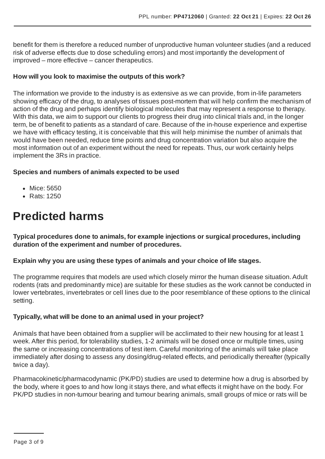benefit for them is therefore a reduced number of unproductive human volunteer studies (and a reduced risk of adverse effects due to dose scheduling errors) and most importantly the development of improved – more effective – cancer therapeutics.

#### **How will you look to maximise the outputs of this work?**

The information we provide to the industry is as extensive as we can provide, from in-life parameters showing efficacy of the drug, to analyses of tissues post-mortem that will help confirm the mechanism of action of the drug and perhaps identify biological molecules that may represent a response to therapy. With this data, we aim to support our clients to progress their drug into clinical trials and, in the longer term, be of benefit to patients as a standard of care. Because of the in-house experience and expertise we have with efficacy testing, it is conceivable that this will help minimise the number of animals that would have been needed, reduce time points and drug concentration variation but also acquire the most information out of an experiment without the need for repeats. Thus, our work certainly helps implement the 3Rs in practice.

#### **Species and numbers of animals expected to be used**

- Mice: 5650
- Rats: 1250

### **Predicted harms**

**Typical procedures done to animals, for example injections or surgical procedures, including duration of the experiment and number of procedures.**

#### **Explain why you are using these types of animals and your choice of life stages.**

The programme requires that models are used which closely mirror the human disease situation.Adult rodents (rats and predominantly mice) are suitable for these studies as the work cannot be conducted in lower vertebrates, invertebrates or cell lines due to the poor resemblance of these options to the clinical setting.

#### **Typically, what will be done to an animal used in your project?**

Animals that have been obtained from a supplier will be acclimated to their new housing for at least 1 week.After this period, for tolerability studies, 1-2 animals will be dosed once or multiple times, using the same or increasing concentrations of test item. Careful monitoring of the animals will take place immediately after dosing to assess any dosing/drug-related effects, and periodically thereafter (typically twice a day).

Pharmacokinetic/pharmacodynamic (PK/PD) studies are used to determine how a drug is absorbed by the body, where it goes to and how long it stays there, and what effects it might have on the body. For PK/PD studies in non-tumour bearing and tumour bearing animals, small groups of mice or rats will be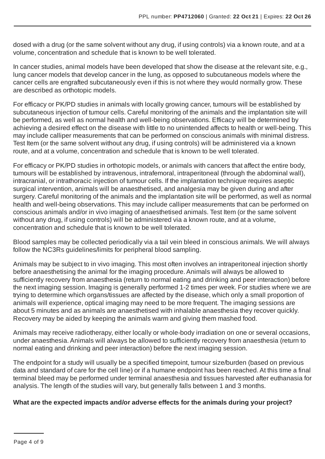dosed with a drug (or the same solvent without any drug, if using controls) via a known route, and at a volume, concentration and schedule that is known to be well tolerated.

In cancer studies, animal models have been developed that show the disease at the relevant site, e.g., lung cancer models that develop cancer in the lung, as opposed to subcutaneous models where the cancer cells are engrafted subcutaneously even if this is not where they would normally grow. These are described as orthotopic models.

For efficacy or PK/PD studies in animals with locally growing cancer, tumours will be established by subcutaneous injection of tumour cells. Careful monitoring of the animals and the implantation site will be performed, as well as normal health and well-being observations. Efficacy will be determined by achieving a desired effect on the disease with little to no unintended affects to health or well-being. This may include calliper measurements that can be performed on conscious animals with minimal distress. Test Item (or the same solvent without any drug, if using controls) will be administered via a known route, and at a volume, concentration and schedule that is known to be well tolerated.

For efficacy or PK/PD studies in orthotopic models, or animals with cancers that affect the entire body, tumours will be established by intravenous, intrafemoral, intraperitoneal (through the abdominal wall), intracranial, or intrathoracic injection of tumour cells. If the implantation technique requires aseptic surgical intervention, animals will be anaesthetised, and analgesia may be given during and after surgery. Careful monitoring of the animals and the implantation site will be performed, as well as normal health and well-being observations. This may include calliper measurements that can be performed on conscious animals and/or in vivo imaging of anaesthetised animals. Test Item (or the same solvent without any drug, if using controls) will be administered via a known route, and at a volume, concentration and schedule that is known to be well tolerated.

Blood samples may be collected periodically via a tail vein bleed in conscious animals. We will always follow the NC3Rs guidelines/limits for peripheral blood sampling.

Animals may be subject to in vivo imaging. This most often involves an intraperitoneal injection shortly before anaesthetising the animal for the imaging procedure.Animals will always be allowed to sufficiently recovery from anaesthesia (return to normal eating and drinking and peer interaction) before the next imaging session. Imaging is generally performed 1-2 times per week. For studies where we are trying to determine which organs/tissues are affected by the disease, which only a small proportion of animals will experience, optical imaging may need to be more frequent. The imaging sessions are about 5 minutes and as animals are anaesthetised with inhalable anaesthesia they recover quickly. Recovery may be aided by keeping the animals warm and giving them mashed food.

Animals may receive radiotherapy, either locally or whole-body irradiation on one or several occasions, under anaesthesia.Animals will always be allowed to sufficiently recovery from anaesthesia (return to normal eating and drinking and peer interaction) before the next imaging session.

The endpoint for a study will usually be a specified timepoint, tumour size/burden (based on previous data and standard of care for the cell line) or if a humane endpoint has been reached.At this time a final terminal bleed may be performed under terminal anaesthesia and tissues harvested after euthanasia for analysis. The length of the studies will vary, but generally falls between 1 and 3 months.

#### **What are the expected impacts and/or adverse effects for the animals during your project?**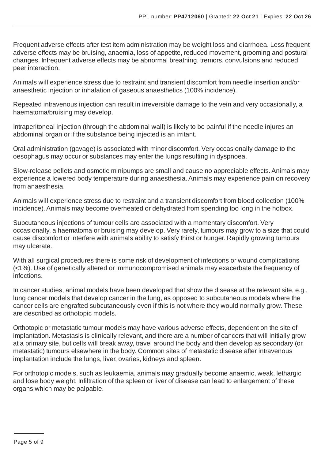Frequent adverse effects after test item administration may be weight loss and diarrhoea. Less frequent adverse effects may be bruising, anaemia, loss of appetite, reduced movement, grooming and postural changes. Infrequent adverse effects may be abnormal breathing, tremors, convulsions and reduced peer interaction.

Animals will experience stress due to restraint and transient discomfort from needle insertion and/or anaesthetic injection or inhalation of gaseous anaesthetics (100% incidence).

Repeated intravenous injection can result in irreversible damage to the vein and very occasionally, a haematoma/bruising may develop.

Intraperitoneal injection (through the abdominal wall) is likely to be painful if the needle injures an abdominal organ or if the substance being injected is an irritant.

Oral administration (gavage) is associated with minor discomfort. Very occasionally damage to the oesophagus may occur or substances may enter the lungs resulting in dyspnoea.

Slow-release pellets and osmotic minipumps are small and cause no appreciable effects.Animals may experience a lowered body temperature during anaesthesia.Animals may experience pain on recovery from anaesthesia.

Animals will experience stress due to restraint and a transient discomfort from blood collection (100% incidence).Animals may become overheated or dehydrated from spending too long in the hotbox.

Subcutaneous injections of tumour cells are associated with a momentary discomfort. Very occasionally, a haematoma or bruising may develop. Very rarely, tumours may grow to a size that could cause discomfort or interfere with animals ability to satisfy thirst or hunger. Rapidly growing tumours may ulcerate.

With all surgical procedures there is some risk of development of infections or wound complications (<1%). Use of genetically altered or immunocompromised animals may exacerbate the frequency of infections.

In cancer studies, animal models have been developed that show the disease at the relevant site, e.g., lung cancer models that develop cancer in the lung, as opposed to subcutaneous models where the cancer cells are engrafted subcutaneously even if this is not where they would normally grow. These are described as orthotopic models.

Orthotopic or metastatic tumour models may have various adverse effects, dependent on the site of implantation. Metastasis is clinically relevant, and there are a number of cancers that will initially grow at a primary site, but cells will break away, travel around the body and then develop as secondary (or metastatic) tumours elsewhere in the body. Common sites of metastatic disease after intravenous implantation include the lungs, liver, ovaries, kidneys and spleen.

For orthotopic models, such as leukaemia, animals may gradually become anaemic, weak, lethargic and lose body weight. Infiltration of the spleen or liver of disease can lead to enlargement of these organs which may be palpable.

Page 5 of 9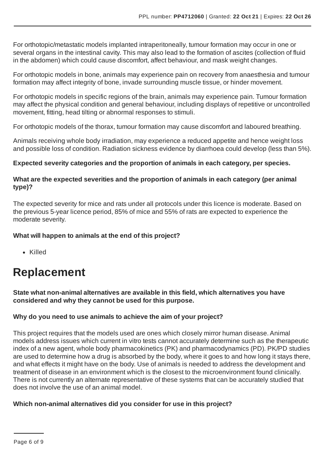For orthotopic/metastatic models implanted intraperitoneally, tumour formation may occur in one or several organs in the intestinal cavity. This may also lead to the formation of ascites (collection of fluid in the abdomen) which could cause discomfort, affect behaviour, and mask weight changes.

For orthotopic models in bone, animals may experience pain on recovery from anaesthesia and tumour formation may affect integrity of bone, invade surrounding muscle tissue, or hinder movement.

For orthotopic models in specific regions of the brain, animals may experience pain. Tumour formation may affect the physical condition and general behaviour, including displays of repetitive or uncontrolled movement, fitting, head tilting or abnormal responses to stimuli.

For orthotopic models of the thorax, tumour formation may cause discomfort and laboured breathing.

Animals receiving whole body irradiation, may experience a reduced appetite and hence weight loss and possible loss of condition. Radiation sickness evidence by diarrhoea could develop (less than 5%).

#### **Expected severity categories and the proportion of animals in each category, per species.**

#### **What are the expected severities and the proportion of animals in each category (per animal type)?**

The expected severity for mice and rats under all protocols under this licence is moderate. Based on the previous 5-year licence period, 85% of mice and 55% of rats are expected to experience the moderate severity.

#### **What will happen to animals at the end of this project?**

• Killed

### **Replacement**

**State what non-animal alternatives are available in this field, which alternatives you have considered and why they cannot be used for this purpose.**

#### **Why do you need to use animals to achieve the aim of your project?**

This project requires that the models used are ones which closely mirror human disease.Animal models address issues which current in vitro tests cannot accurately determine such as the therapeutic index of a new agent, whole body pharmacokinetics (PK) and pharmacodynamics (PD). PK/PD studies are used to determine how a drug is absorbed by the body, where it goes to and how long it stays there, and what effects it might have on the body. Use of animals is needed to address the development and treatment of disease in an environment which is the closest to the microenvironment found clinically. There is not currently an alternate representative of these systems that can be accurately studied that does not involve the use of an animal model.

#### **Which non-animal alternatives did you consider for use in this project?**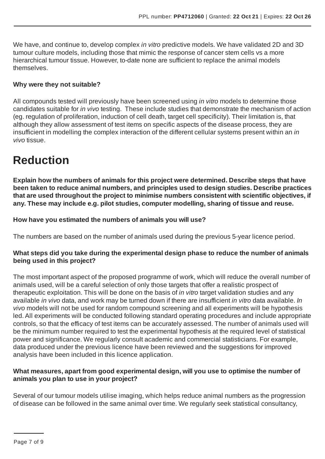We have, and continue to, develop complex *in vitro* predictive models. We have validated 2D and 3D tumour culture models, including those that mimic the response of cancer stem cells vs a more hierarchical tumour tissue. However, to-date none are sufficient to replace the animal models themselves.

#### **Why were they not suitable?**

All compounds tested will previously have been screened using *in vitro* models to determine those candidates suitable for *in vivo* testing. These include studies that demonstrate the mechanism of action (eg. regulation of proliferation, induction of cell death, target cell specificity). Their limitation is, that although they allow assessment of test items on specific aspects of the disease process, they are insufficient in modelling the complex interaction of the different cellular systems present within an *in vivo* tissue.

### **Reduction**

**Explain how the numbers of animals for this project were determined. Describe steps that have been taken to reduce animal numbers, and principles used to design studies. Describe practices that are used throughout the project to minimise numbers consistent with scientific objectives, if any. These may include e.g. pilot studies, computer modelling, sharing of tissue and reuse.**

#### **How have you estimated the numbers of animals you will use?**

The numbers are based on the number of animals used during the previous 5-year licence period.

#### **What steps did you take during the experimental design phase to reduce the number of animals being used in this project?**

The most important aspect of the proposed programme of work, which will reduce the overall number of animals used, will be a careful selection of only those targets that offer a realistic prospect of therapeutic exploitation. This will be done on the basis of *in vitro* target validation studies and any available *in vivo* data, and work may be turned down if there are insufficient *in vitro* data available. *In vivo* models will not be used for random compound screening and all experiments will be hypothesis led.All experiments will be conducted following standard operating procedures and include appropriate controls, so that the efficacy of test items can be accurately assessed. The number of animals used will be the minimum number required to test the experimental hypothesis at the required level of statistical power and significance. We regularly consult academic and commercial statisticians. For example, data produced under the previous licence have been reviewed and the suggestions for improved analysis have been included in this licence application.

#### **What measures, apart from good experimental design, will you use to optimise the number of animals you plan to use in your project?**

Several of our tumour models utilise imaging, which helps reduce animal numbers as the progression of disease can be followed in the same animal over time. We regularly seek statistical consultancy,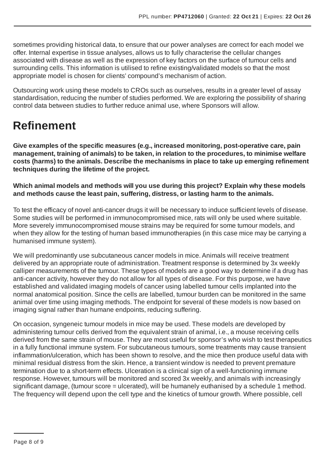sometimes providing historical data, to ensure that our power analyses are correct for each model we offer. Internal expertise in tissue analyses, allows us to fully characterise the cellular changes associated with disease as well as the expression of key factors on the surface of tumour cells and surrounding cells. This information is utilised to refine existing/validated models so that the most appropriate model is chosen for clients' compound's mechanism of action.

Outsourcing work using these models to CROs such as ourselves, results in a greater level of assay standardisation, reducing the number of studies performed. We are exploring the possibility of sharing control data between studies to further reduce animal use, where Sponsors will allow.

## **Refinement**

**Give examples of the specific measures (e.g., increased monitoring, post-operative care, pain management, training of animals) to be taken, in relation to the procedures, to minimise welfare costs (harms) to the animals. Describe the mechanisms in place to take up emerging refinement techniques during the lifetime of the project.**

**Which animal models and methods will you use during this project? Explain why these models and methods cause the least pain, suffering, distress, or lasting harm to the animals.**

To test the efficacy of novel anti-cancer drugs it will be necessary to induce sufficient levels of disease. Some studies will be performed in immunocompromised mice, rats will only be used where suitable. More severely immunocompromised mouse strains may be required for some tumour models, and when they allow for the testing of human based immunotherapies (in this case mice may be carrying a humanised immune system).

We will predominantly use subcutaneous cancer models in mice. Animals will receive treatment delivered by an appropriate route of administration. Treatment response is determined by 3x weekly calliper measurements of the tumour. These types of models are a good way to determine if a drug has anti-cancer activity, however they do not allow for all types of disease. For this purpose, we have established and validated imaging models of cancer using labelled tumour cells implanted into the normal anatomical position. Since the cells are labelled, tumour burden can be monitored in the same animal over time using imaging methods. The endpoint for several of these models is now based on imaging signal rather than humane endpoints, reducing suffering.

On occasion, syngeneic tumour models in mice may be used. These models are developed by administering tumour cells derived from the equivalent strain of animal, i.e., a mouse receiving cells derived from the same strain of mouse. They are most useful for sponsor's who wish to test therapeutics in a fully functional immune system. For subcutaneous tumours, some treatments may cause transient inflammation/ulceration, which has been shown to resolve, and the mice then produce useful data with minimal residual distress from the skin. Hence, a transient window is needed to prevent premature termination due to a short-term effects. Ulceration is a clinical sign of a well-functioning immune response. However, tumours will be monitored and scored 3x weekly, and animals with increasingly significant damage, (tumour score = ulcerated), will be humanely euthanised by a schedule 1 method. The frequency will depend upon the cell type and the kinetics of tumour growth. Where possible, cell